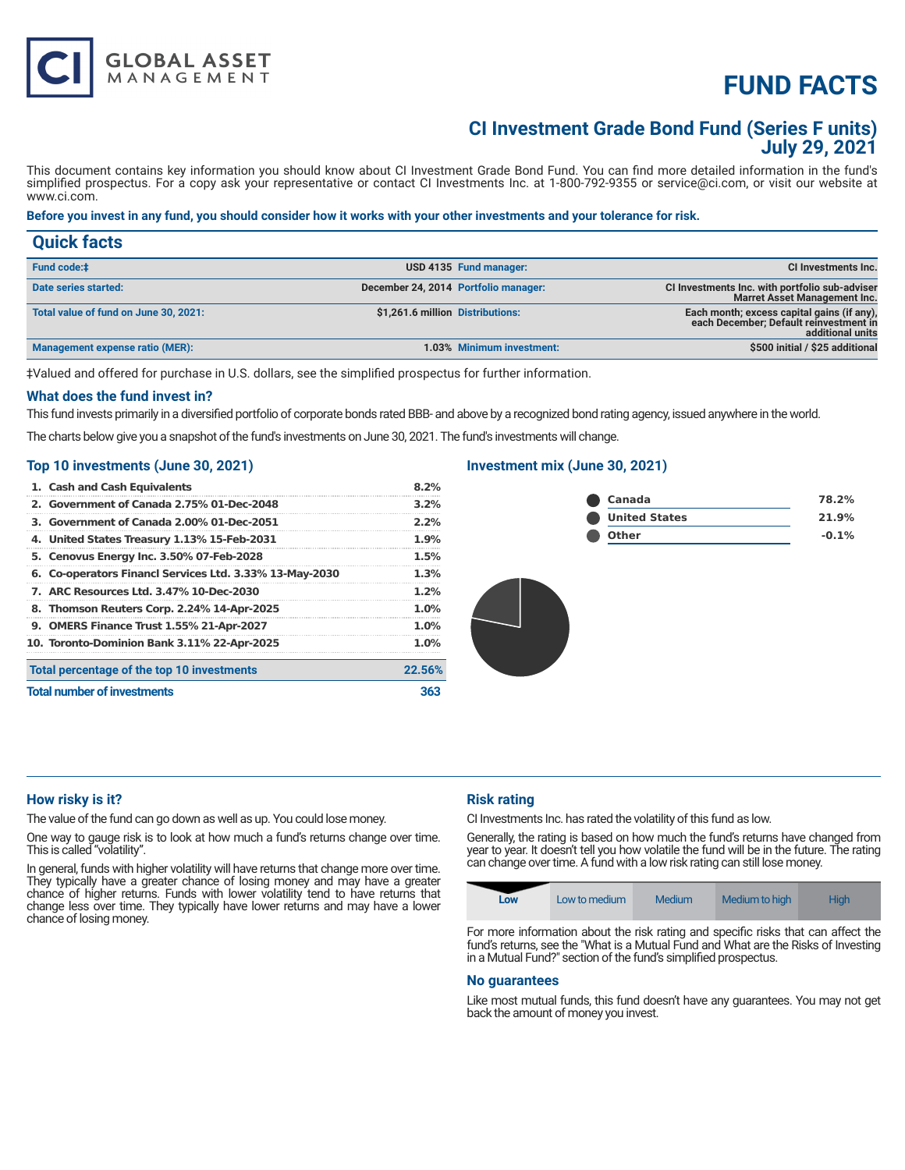# **FUND FACTS**

# **CI Investment Grade Bond Fund (Series F units) July 29, 2021**

This document contains key information you should know about CI Investment Grade Bond Fund. You can find more detailed information in the fund's simplified prospectus. For a copy ask your representative or contact CI Investments Inc. at 1-800-792-9355 or service@ci.com, or visit our website at www.ci.com.

# **Before you invest in any fund, you should consider how it works with your other investments and your tolerance for risk.**

| <b>Quick facts</b>                    |                                  |                                      |                                                                                                          |
|---------------------------------------|----------------------------------|--------------------------------------|----------------------------------------------------------------------------------------------------------|
| <b>Fund code:#</b>                    |                                  | USD 4135 Fund manager:               | CI Investments Inc.                                                                                      |
| Date series started:                  |                                  | December 24, 2014 Portfolio manager: | CI Investments Inc. with portfolio sub-adviser<br><b>Marret Asset Management Inc.</b>                    |
| Total value of fund on June 30, 2021: | \$1,261.6 million Distributions: |                                      | Each month; excess capital gains (if any),<br>each December; Default reinvestment in<br>additional units |
| Management expense ratio (MER):       |                                  | 1.03% Minimum investment:            | \$500 initial / \$25 additional                                                                          |

‡Valued and offered for purchase in U.S. dollars, see the simplified prospectus for further information.

## **What does the fund invest in?**

This fund invests primarily in a diversified portfolio of corporate bonds rated BBB- and above by a recognized bond rating agency, issued anywhere in the world.

The charts below give you a snapshot of the fund's investments on June 30, 2021. The fund's investments will change.

## **Top 10 investments (June 30, 2021)**

**GLOBAL ASSET**<br>MANAGEMENT

| 1. Cash and Cash Equivalents                            | 8.2%    |
|---------------------------------------------------------|---------|
| 2. Government of Canada 2.75% 01-Dec-2048               | $3.2\%$ |
| 3. Government of Canada 2.00% 01-Dec-2051               | 2.2%    |
| 4. United States Treasury 1.13% 15-Feb-2031             | 1.9%    |
| 5. Cenovus Energy Inc. 3.50% 07-Feb-2028                | 1.5%    |
| 6. Co-operators Financl Services Ltd. 3.33% 13-May-2030 | 1.3%    |
| 7. ARC Resources Ltd. 3.47% 10-Dec-2030                 | 1.2%    |
| 8. Thomson Reuters Corp. 2.24% 14-Apr-2025              | 1.0%    |
| 9. OMERS Finance Trust 1.55% 21-Apr-2027                | 1.0%    |
| 10. Toronto-Dominion Bank 3.11% 22-Apr-2025             | 1.0%    |
| Total percentage of the top 10 investments              | 22.56%  |
| <b>Total number of investments</b>                      | 363     |

# **Investment mix (June 30, 2021)**

| Canada               | 78.2%   |
|----------------------|---------|
| <b>United States</b> | 21.9%   |
| <b>Other</b>         | $-0.1%$ |

# **How risky is it?**

The value of the fund can go down as well as up. You could lose money.

One way to gauge risk is to look at how much a fund's returns change over time. This is called "volatility".

In general, funds with higher volatility will have returns that change more over time. They typically have a greater chance of losing money and may have a greater chance of higher returns. Funds with lower volatility tend to have returns that change less over time. They typically have lower returns and may have a lower chance of losing money.

# **Risk rating**

CI Investments Inc. has rated the volatility of this fund as low.

Generally, the rating is based on how much the fund's returns have changed from year to year. It doesn't tell you how volatile the fund will be in the future. The rating can change over time. A fund with a low risk rating can still lose money.



For more information about the risk rating and specific risks that can affect the fund's returns, see the "What is a Mutual Fund and What are the Risks of Investing in a Mutual Fund?" section of the fund's simplified prospectus.

#### **No guarantees**

Like most mutual funds, this fund doesn't have any guarantees. You may not get back the amount of money you invest.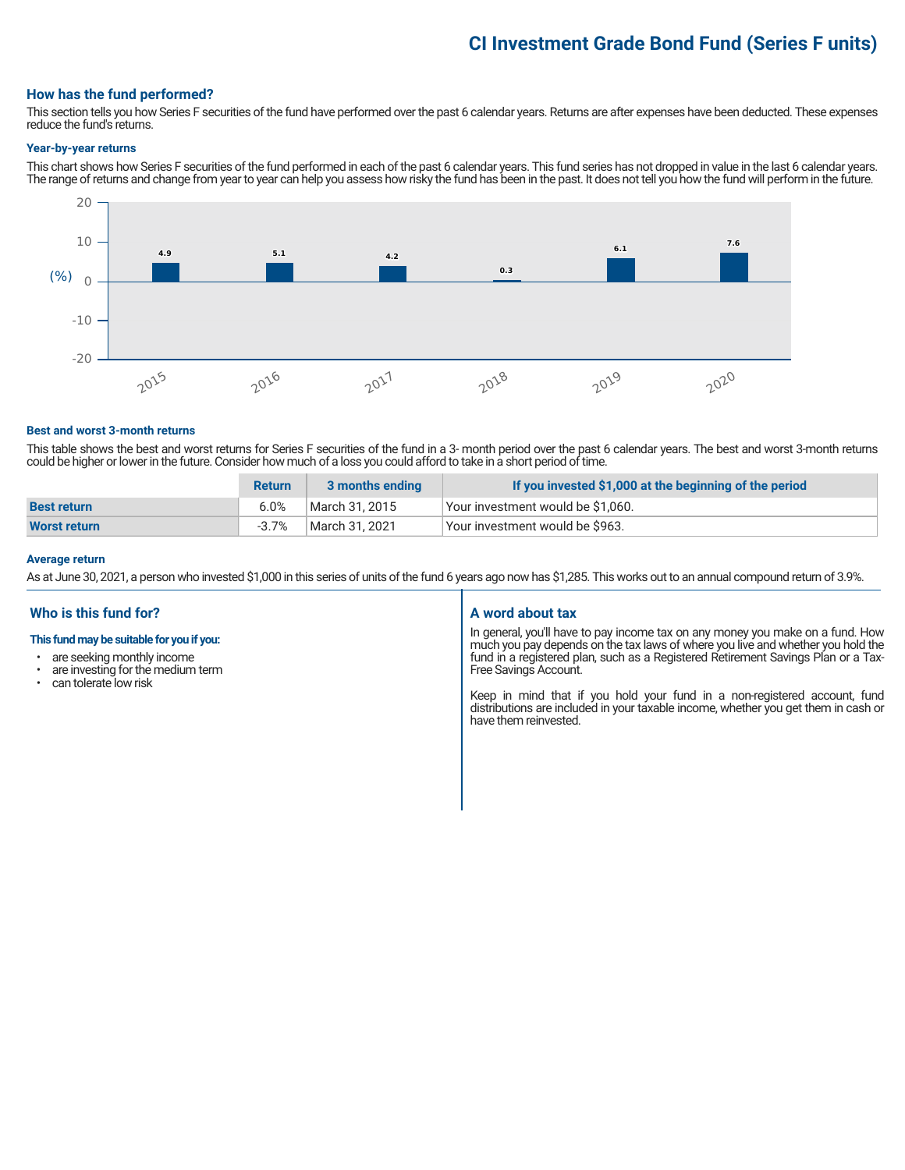# **CI Investment Grade Bond Fund (Series F units)**

## **How has the fund performed?**

This section tells you how Series F securities of the fund have performed over the past 6 calendar years. Returns are after expenses have been deducted. These expenses reduce the fund's returns.

#### **Year-by-year returns**

This chart shows how Series F securities of the fund performed in each of the past 6 calendar years. This fund series has not dropped in value in the last 6 calendar years. The range of returns and change from year to year can help you assess how risky the fund has been in the past. It does not tell you how the fund will perform in the future.



#### **Best and worst 3-month returns**

This table shows the best and worst returns for Series F securities of the fund in a 3- month period over the past 6 calendar years. The best and worst 3-month returns could be higher or lower in the future. Consider how much of a loss you could afford to take in a short period of time.

|                     | <b>Return</b> | 3 months ending | If you invested \$1,000 at the beginning of the period |
|---------------------|---------------|-----------------|--------------------------------------------------------|
| <b>Best return</b>  | 6.0%          | March 31. 2015  | Vour investment would be \$1,060.                      |
| <b>Worst return</b> | -3.7%         | March 31, 2021  | Vour investment would be \$963.                        |

#### **Average return**

As at June 30, 2021, a person who invested \$1,000 in this series of units of the fund 6 years ago now has \$1,285. This works out to an annual compound return of 3.9%.

## **Who is this fund for?**

#### **This fund may be suitable for you if you:**

- are seeking monthly income
- are investing for the medium term
- can tolerate low risk

#### **A word about tax**

In general, you'll have to pay income tax on any money you make on a fund. How much you pay depends on the tax laws of where you live and whether you hold the fund in a registered plan, such as a Registered Retirement Savings Plan or a Tax-Free Savings Account.

Keep in mind that if you hold your fund in a non-registered account, fund distributions are included in your taxable income, whether you get them in cash or have them reinvested.